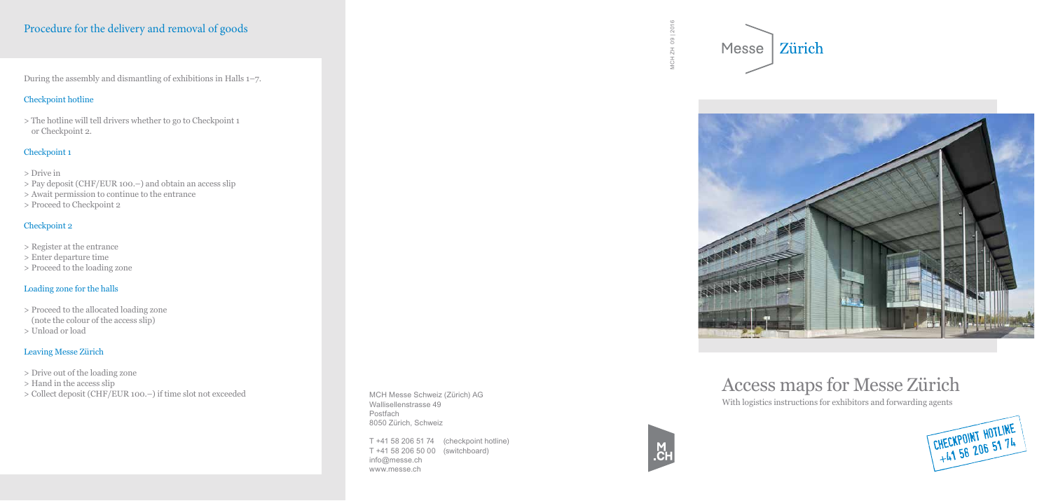MCH ZH 09 | 2016

 $_{\odot}^{\pm}$ 







# Access maps for Messe Zürich

With logistics instructions for exhibitors and forwarding agents

CHECKPOINT HOTLINE

During the assembly and dismantling of exhibitions in Halls 1–7.

#### Checkpoint hotline

> The hotline will tell drivers whether to go to Checkpoint 1 or Checkpoint 2.

#### Checkpoint 1

- > Drive in
- > Pay deposit (CHF/EUR 100.–) and obtain an access slip
- > Await permission to continue to the entrance
- > Proceed to Checkpoint 2

#### Checkpoint 2

- > Register at the entrance
- > Enter departure time
- > Proceed to the loading zone

### Loading zone for the halls

- > Proceed to the allocated loading zone (note the colour of the access slip)
- > Unload or load

### Leaving Messe Zürich

- > Drive out of the loading zone
- > Hand in the access slip
- > Collect deposit (CHF/EUR 100.–) if time slot not exceeded

## Procedure for the delivery and removal of goods

MCH Messe Schweiz (Zürich) AG Wallisellenstrasse 49 Postfach 8050 Zürich, Schweiz

T +41 58 206 51 74 (checkpoint hotline) T +41 58 206 50 00 (switchboard) info@messe.ch www.messe.ch

Messe